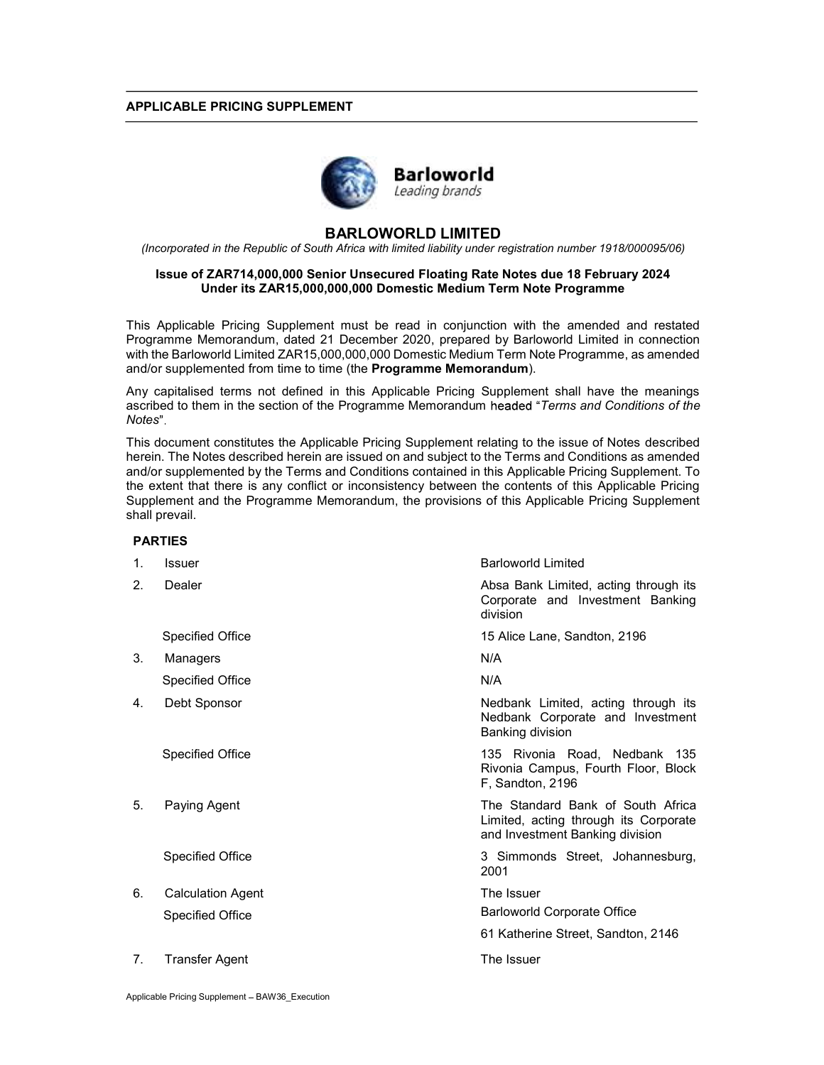### APPLICABLE PRICING SUPPLEMENT



# BARLOWORLD LIMITED

(Incorporated in the Republic of South Africa with limited liability under registration number 1918/000095/06)

## Issue of ZAR714,000,000 Senior Unsecured Floating Rate Notes due 18 February 2024 Under its ZAR15,000,000,000 Domestic Medium Term Note Programme

This Applicable Pricing Supplement must be read in conjunction with the amended and restated Programme Memorandum, dated 21 December 2020, prepared by Barloworld Limited in connection with the Barloworld Limited ZAR15,000,000,000 Domestic Medium Term Note Programme, as amended and/or supplemented from time to time (the **Programme Memorandum**).

Any capitalised terms not defined in this Applicable Pricing Supplement shall have the meanings ascribed to them in the section of the Programme Memorandum headed "Terms and Conditions of the Notes"

This document constitutes the Applicable Pricing Supplement relating to the issue of Notes described herein. The Notes described herein are issued on and subject to the Terms and Conditions as amended and/or supplemented by the Terms and Conditions contained in this Applicable Pricing Supplement. To the extent that there is any conflict or inconsistency between the contents of this Applicable Pricing Supplement and the Programme Memorandum, the provisions of this Applicable Pricing Supplement shall prevail.

#### PARTIES

| 1. | <b>Issuer</b>            | <b>Barloworld Limited</b>                                                                                     |
|----|--------------------------|---------------------------------------------------------------------------------------------------------------|
| 2. | Dealer                   | Absa Bank Limited, acting through its<br>Corporate and Investment Banking<br>division                         |
|    | <b>Specified Office</b>  | 15 Alice Lane, Sandton, 2196                                                                                  |
| 3. | Managers                 | N/A                                                                                                           |
|    | <b>Specified Office</b>  | N/A                                                                                                           |
| 4. | Debt Sponsor             | Nedbank Limited, acting through its<br>Nedbank Corporate and Investment<br>Banking division                   |
|    | <b>Specified Office</b>  | 135 Rivonia Road, Nedbank 135<br>Rivonia Campus, Fourth Floor, Block<br>F, Sandton, 2196                      |
| 5. | Paying Agent             | The Standard Bank of South Africa<br>Limited, acting through its Corporate<br>and Investment Banking division |
|    | <b>Specified Office</b>  | 3 Simmonds Street, Johannesburg,<br>2001                                                                      |
| 6. | <b>Calculation Agent</b> | The Issuer                                                                                                    |
|    | <b>Specified Office</b>  | Barloworld Corporate Office                                                                                   |
|    |                          | 61 Katherine Street, Sandton, 2146                                                                            |
| 7. | Transfer Agent           | The Issuer                                                                                                    |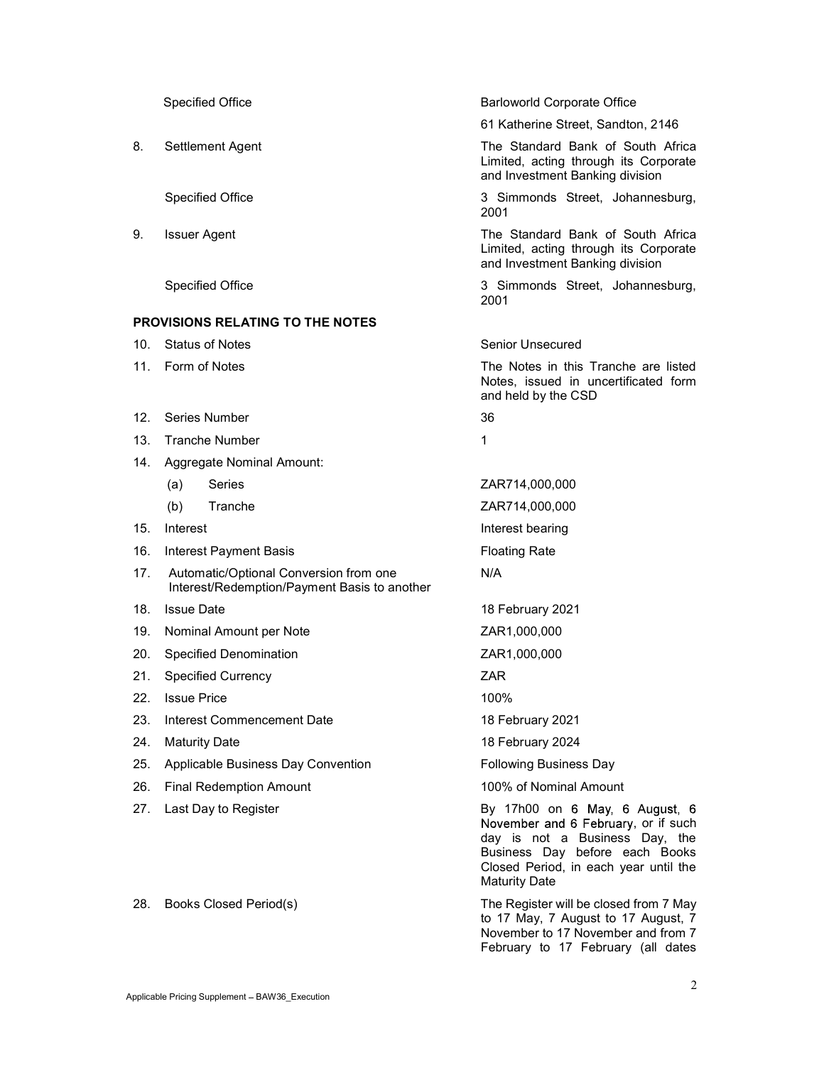|     | <b>Specified Office</b>                                                                | <b>Barloworld Corporate Office</b>                                                                                                                                                                         |
|-----|----------------------------------------------------------------------------------------|------------------------------------------------------------------------------------------------------------------------------------------------------------------------------------------------------------|
|     |                                                                                        | 61 Katherine Street, Sandton, 2146                                                                                                                                                                         |
| 8.  | Settlement Agent                                                                       | The Standard Bank of South Africa<br>Limited, acting through its Corporate<br>and Investment Banking division                                                                                              |
|     | <b>Specified Office</b>                                                                | 3 Simmonds Street, Johannesburg,<br>2001                                                                                                                                                                   |
| 9.  | <b>Issuer Agent</b>                                                                    | The Standard Bank of South Africa<br>Limited, acting through its Corporate<br>and Investment Banking division                                                                                              |
|     | <b>Specified Office</b>                                                                | 3 Simmonds Street, Johannesburg,<br>2001                                                                                                                                                                   |
|     | <b>PROVISIONS RELATING TO THE NOTES</b>                                                |                                                                                                                                                                                                            |
| 10. | <b>Status of Notes</b>                                                                 | Senior Unsecured                                                                                                                                                                                           |
| 11. | Form of Notes                                                                          | The Notes in this Tranche are listed<br>Notes, issued in uncertificated form<br>and held by the CSD                                                                                                        |
| 12. | Series Number                                                                          | 36                                                                                                                                                                                                         |
| 13. | <b>Tranche Number</b>                                                                  | 1                                                                                                                                                                                                          |
| 14. | Aggregate Nominal Amount:                                                              |                                                                                                                                                                                                            |
|     | (a)<br>Series                                                                          | ZAR714,000,000                                                                                                                                                                                             |
|     | (b)<br>Tranche                                                                         | ZAR714,000,000                                                                                                                                                                                             |
| 15. | Interest                                                                               | Interest bearing                                                                                                                                                                                           |
| 16. | <b>Interest Payment Basis</b>                                                          | <b>Floating Rate</b>                                                                                                                                                                                       |
| 17. | Automatic/Optional Conversion from one<br>Interest/Redemption/Payment Basis to another | N/A                                                                                                                                                                                                        |
| 18. | <b>Issue Date</b>                                                                      | 18 February 2021                                                                                                                                                                                           |
| 19. | Nominal Amount per Note                                                                | ZAR1,000,000                                                                                                                                                                                               |
| 20. | <b>Specified Denomination</b>                                                          | ZAR1,000,000                                                                                                                                                                                               |
| 21. | <b>Specified Currency</b>                                                              | 7AR                                                                                                                                                                                                        |
| 22. | <b>Issue Price</b>                                                                     | 100%                                                                                                                                                                                                       |
| 23. | Interest Commencement Date                                                             | 18 February 2021                                                                                                                                                                                           |
| 24. | <b>Maturity Date</b>                                                                   | 18 February 2024                                                                                                                                                                                           |
| 25. | Applicable Business Day Convention                                                     | <b>Following Business Day</b>                                                                                                                                                                              |
| 26. | <b>Final Redemption Amount</b>                                                         | 100% of Nominal Amount                                                                                                                                                                                     |
| 27. | Last Day to Register                                                                   | By 17h00 on 6 May, 6 August, 6<br>November and 6 February, or if such<br>day is not a Business Day, the<br>Business Day before each Books<br>Closed Period, in each year until the<br><b>Maturity Date</b> |
| 28. | Books Closed Period(s)                                                                 | The Register will be closed from 7 May<br>to 17 May, 7 August to 17 August, 7<br>November to 17 November and from 7                                                                                        |

February to 17 February (all dates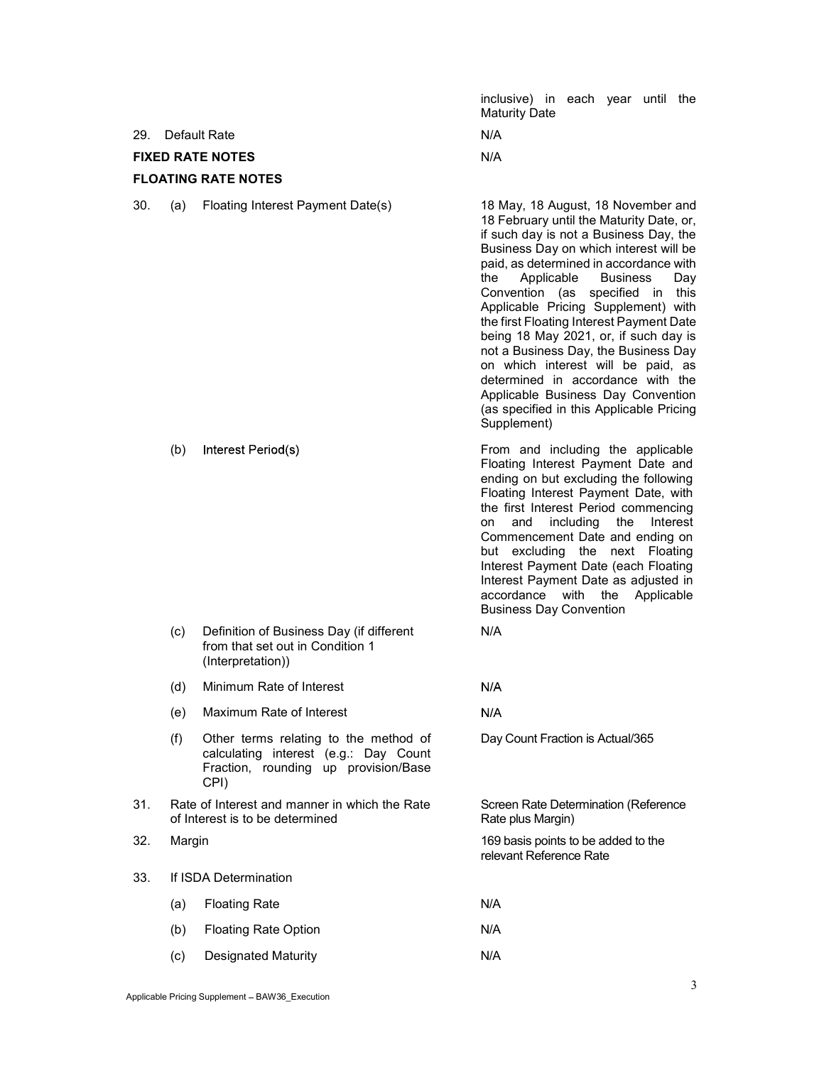inclusive) in each year until the Maturity Date

29. Default Rate N/A

FIXED RATE NOTES N/A

# FLOATING RATE NOTES

30. (a) Floating Interest Payment Date(s) 18 May, 18 August, 18 November and

18 February until the Maturity Date, or, if such day is not a Business Day, the Business Day on which interest will be paid, as determined in accordance with the Applicable Business Day Convention (as specified in this Applicable Pricing Supplement) with the first Floating Interest Payment Date being 18 May 2021, or, if such day is not a Business Day, the Business Day on which interest will be paid, as determined in accordance with the Applicable Business Day Convention (as specified in this Applicable Pricing Supplement)

(b) Interest Period(s) **Example 2** From and including the applicable Floating Interest Payment Date and ending on but excluding the following Floating Interest Payment Date, with the first Interest Period commencing on and including the Interest Commencement Date and ending on but excluding the next Floating Interest Payment Date (each Floating Interest Payment Date as adjusted in accordance with the Applicable Business Day Convention

Day Count Fraction is Actual/365

Rate plus Margin)

 $N/A$  $N/A$ 

relevant Reference Rate

Screen Rate Determination (Reference

- (c) Definition of Business Day (if different from that set out in Condition 1 (Interpretation)) N/A
- (d) Minimum Rate of Interest
- (e) Maximum Rate of Interest
- (f) Other terms relating to the method of calculating interest (e.g.: Day Count Fraction, rounding up provision/Base CPI)
- 31. Rate of Interest and manner in which the Rate of Interest is to be determined
- 32. Margin 169 basis points to be added to the
- 33. If ISDA Determination
	- (a) Floating Rate N/A (b) Floating Rate Option N/A
	- (c) Designated Maturity N/A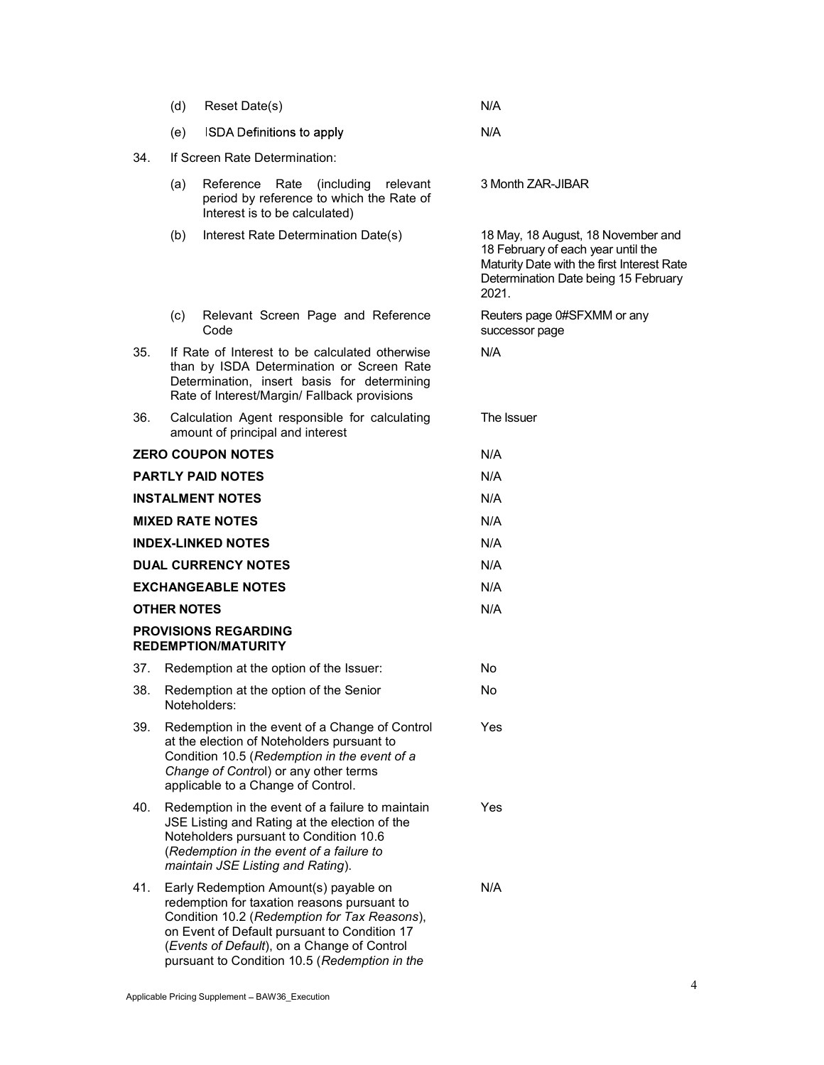|                            | (d)                                                                                                                                                                                        | Reset Date(s)                                                                                                                                                                                                                                                                        | N/A                                                                                                                                                                     |  |  |
|----------------------------|--------------------------------------------------------------------------------------------------------------------------------------------------------------------------------------------|--------------------------------------------------------------------------------------------------------------------------------------------------------------------------------------------------------------------------------------------------------------------------------------|-------------------------------------------------------------------------------------------------------------------------------------------------------------------------|--|--|
|                            | (e)                                                                                                                                                                                        | <b>ISDA Definitions to apply</b>                                                                                                                                                                                                                                                     | N/A                                                                                                                                                                     |  |  |
| 34.                        | If Screen Rate Determination:                                                                                                                                                              |                                                                                                                                                                                                                                                                                      |                                                                                                                                                                         |  |  |
|                            | (a)                                                                                                                                                                                        | Reference Rate<br>(including)<br>relevant<br>period by reference to which the Rate of<br>Interest is to be calculated)                                                                                                                                                               | 3 Month ZAR-JIBAR                                                                                                                                                       |  |  |
|                            | (b)                                                                                                                                                                                        | Interest Rate Determination Date(s)                                                                                                                                                                                                                                                  | 18 May, 18 August, 18 November and<br>18 February of each year until the<br>Maturity Date with the first Interest Rate<br>Determination Date being 15 February<br>2021. |  |  |
|                            | (c)                                                                                                                                                                                        | Relevant Screen Page and Reference<br>Code                                                                                                                                                                                                                                           | Reuters page 0#SFXMM or any<br>successor page                                                                                                                           |  |  |
| 35.                        | If Rate of Interest to be calculated otherwise<br>than by ISDA Determination or Screen Rate<br>Determination, insert basis for determining<br>Rate of Interest/Margin/ Fallback provisions |                                                                                                                                                                                                                                                                                      | N/A                                                                                                                                                                     |  |  |
| 36.                        |                                                                                                                                                                                            | Calculation Agent responsible for calculating<br>amount of principal and interest                                                                                                                                                                                                    | The Issuer                                                                                                                                                              |  |  |
|                            |                                                                                                                                                                                            | <b>ZERO COUPON NOTES</b>                                                                                                                                                                                                                                                             | N/A                                                                                                                                                                     |  |  |
|                            |                                                                                                                                                                                            | <b>PARTLY PAID NOTES</b>                                                                                                                                                                                                                                                             | N/A                                                                                                                                                                     |  |  |
|                            |                                                                                                                                                                                            | <b>INSTALMENT NOTES</b>                                                                                                                                                                                                                                                              | N/A                                                                                                                                                                     |  |  |
|                            |                                                                                                                                                                                            | <b>MIXED RATE NOTES</b>                                                                                                                                                                                                                                                              | N/A                                                                                                                                                                     |  |  |
|                            |                                                                                                                                                                                            | <b>INDEX-LINKED NOTES</b>                                                                                                                                                                                                                                                            | N/A                                                                                                                                                                     |  |  |
| <b>DUAL CURRENCY NOTES</b> |                                                                                                                                                                                            |                                                                                                                                                                                                                                                                                      | N/A                                                                                                                                                                     |  |  |
|                            |                                                                                                                                                                                            | <b>EXCHANGEABLE NOTES</b>                                                                                                                                                                                                                                                            | N/A                                                                                                                                                                     |  |  |
|                            | <b>OTHER NOTES</b>                                                                                                                                                                         |                                                                                                                                                                                                                                                                                      | N/A                                                                                                                                                                     |  |  |
|                            |                                                                                                                                                                                            | <b>PROVISIONS REGARDING</b><br><b>REDEMPTION/MATURITY</b>                                                                                                                                                                                                                            |                                                                                                                                                                         |  |  |
| 37.                        |                                                                                                                                                                                            | Redemption at the option of the Issuer:                                                                                                                                                                                                                                              | No                                                                                                                                                                      |  |  |
| 38.                        |                                                                                                                                                                                            | Redemption at the option of the Senior<br>Noteholders:                                                                                                                                                                                                                               | No                                                                                                                                                                      |  |  |
| 39.                        |                                                                                                                                                                                            | Redemption in the event of a Change of Control<br>at the election of Noteholders pursuant to<br>Condition 10.5 (Redemption in the event of a<br>Change of Control) or any other terms<br>applicable to a Change of Control.                                                          | Yes                                                                                                                                                                     |  |  |
| 40.                        |                                                                                                                                                                                            | Redemption in the event of a failure to maintain<br>JSE Listing and Rating at the election of the<br>Noteholders pursuant to Condition 10.6<br>(Redemption in the event of a failure to<br>maintain JSE Listing and Rating).                                                         | Yes                                                                                                                                                                     |  |  |
| 41.                        |                                                                                                                                                                                            | Early Redemption Amount(s) payable on<br>redemption for taxation reasons pursuant to<br>Condition 10.2 (Redemption for Tax Reasons),<br>on Event of Default pursuant to Condition 17<br>(Events of Default), on a Change of Control<br>pursuant to Condition 10.5 (Redemption in the | N/A                                                                                                                                                                     |  |  |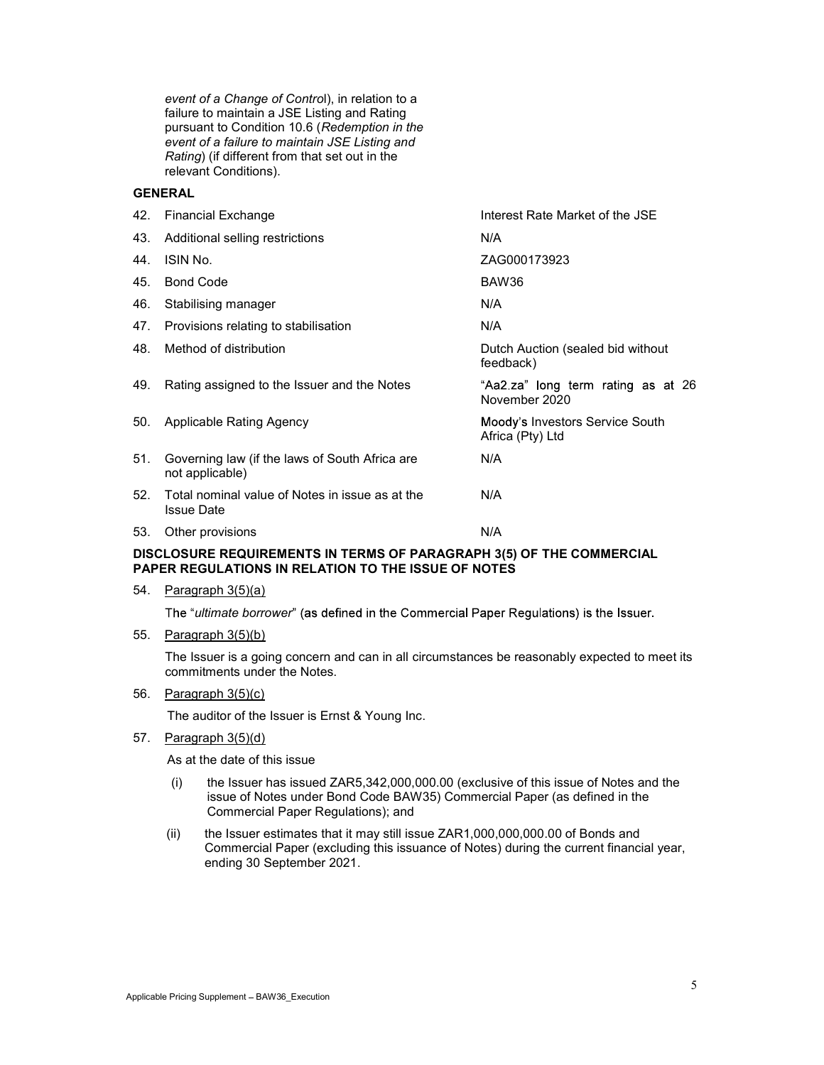event of a Change of Control), in relation to a failure to maintain a JSE Listing and Rating pursuant to Condition 10.6 (Redemption in the event of a failure to maintain JSE Listing and Rating) (if different from that set out in the relevant Conditions).

# GENERAL

|     | 42. Financial Exchange                                               | Interest Rate Market of the JSE                     |
|-----|----------------------------------------------------------------------|-----------------------------------------------------|
| 43. | Additional selling restrictions                                      | N/A                                                 |
| 44. | ISIN No.                                                             | ZAG000173923                                        |
| 45. | <b>Bond Code</b>                                                     | BAW36                                               |
| 46. | Stabilising manager                                                  | N/A                                                 |
| 47. | Provisions relating to stabilisation                                 | N/A                                                 |
| 48. | Method of distribution                                               | Dutch Auction (sealed bid without<br>feedback)      |
| 49. | Rating assigned to the Issuer and the Notes                          | "Aa2.za" long term rating as at 26<br>November 2020 |
| 50. | Applicable Rating Agency                                             | Moody's Investors Service South<br>Africa (Pty) Ltd |
| 51. | Governing law (if the laws of South Africa are<br>not applicable)    | N/A                                                 |
| 52. | Total nominal value of Notes in issue as at the<br><b>Issue Date</b> | N/A                                                 |
| 53. | Other provisions                                                     | N/A                                                 |
|     |                                                                      |                                                     |

### DISCLOSURE REQUIREMENTS IN TERMS OF PARAGRAPH 3(5) OF THE COMMERCIAL PAPER REGULATIONS IN RELATION TO THE ISSUE OF NOTES

54. Paragraph 3(5)(a)

The "ultimate borrower" (as defined in the Commercial Paper Regulations) is the Issuer.

55. Paragraph 3(5)(b)

The Issuer is a going concern and can in all circumstances be reasonably expected to meet its commitments under the Notes.

56. Paragraph 3(5)(c)

The auditor of the Issuer is Ernst & Young Inc.

57. Paragraph 3(5)(d)

As at the date of this issue

- (i) the Issuer has issued ZAR5,342,000,000.00 (exclusive of this issue of Notes and the issue of Notes under Bond Code BAW35) Commercial Paper (as defined in the Commercial Paper Regulations); and
- (ii) the Issuer estimates that it may still issue ZAR1,000,000,000.00 of Bonds and Commercial Paper (excluding this issuance of Notes) during the current financial year, ending 30 September 2021.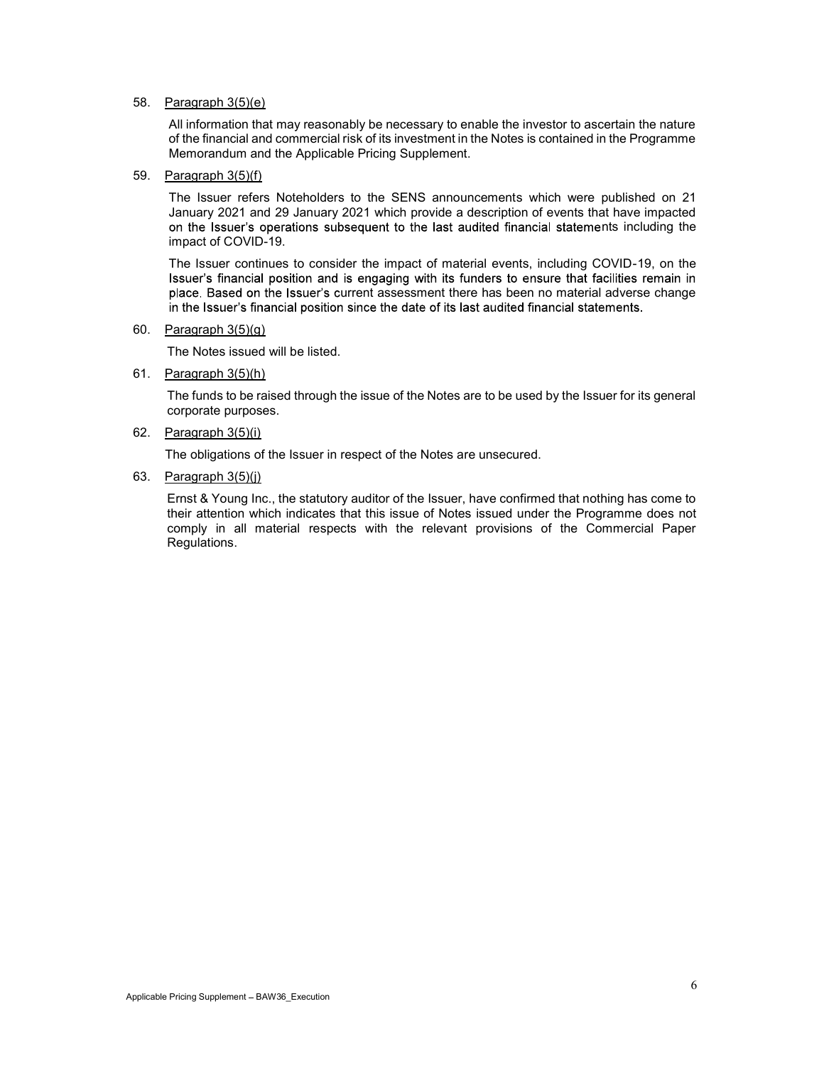#### 58. Paragraph 3(5)(e)

All information that may reasonably be necessary to enable the investor to ascertain the nature of the financial and commercial risk of its investment in the Notes is contained in the Programme Memorandum and the Applicable Pricing Supplement.

#### 59. Paragraph 3(5)(f)

The Issuer refers Noteholders to the SENS announcements which were published on 21 January 2021 and 29 January 2021 which provide a description of events that have impacted on the Issuer's operations subsequent to the last audited financial statements including the impact of COVID-19.

The Issuer continues to consider the impact of material events, including COVID-19, on the Issuer's financial position and is engaging with its funders to ensure that facilities remain in place. Based on the Issuer's current assessment there has been no material adverse change in the Issuer's financial position since the date of its last audited financial statements.

#### 60. Paragraph 3(5)(g)

The Notes issued will be listed.

61. Paragraph 3(5)(h)

The funds to be raised through the issue of the Notes are to be used by the Issuer for its general corporate purposes.

#### 62. Paragraph 3(5)(i)

The obligations of the Issuer in respect of the Notes are unsecured.

#### 63. Paragraph 3(5)(j)

Ernst & Young Inc., the statutory auditor of the Issuer, have confirmed that nothing has come to their attention which indicates that this issue of Notes issued under the Programme does not comply in all material respects with the relevant provisions of the Commercial Paper Regulations.